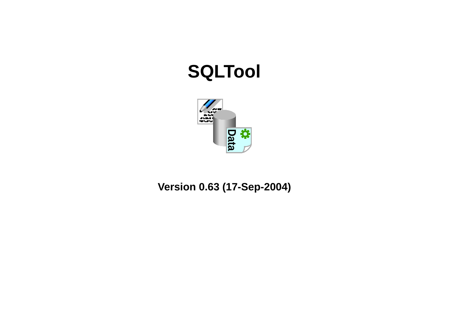# **SQLTool**



# **Version 0.63 (17-Sep-2004)**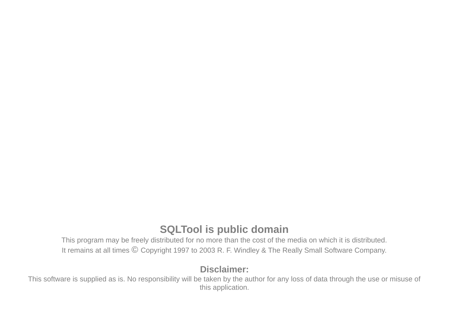# **SQLTool is public domain**

 This program may be freely distributed for no more than the cost of the media on which it is distributed.It remains at all times © Copyright 1997 to 2003 R. F. Windley & The Really Small Software Company.

#### **Disclaimer:**

 This software is supplied as is. No responsibility will be taken by the author for any loss of data through the use or misuse ofthis application.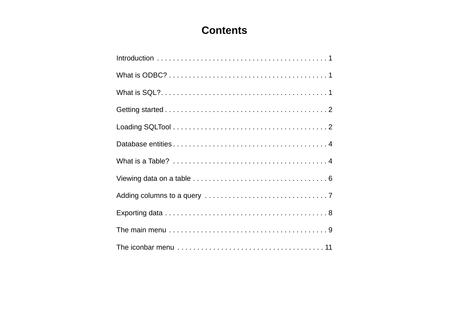# **Contents**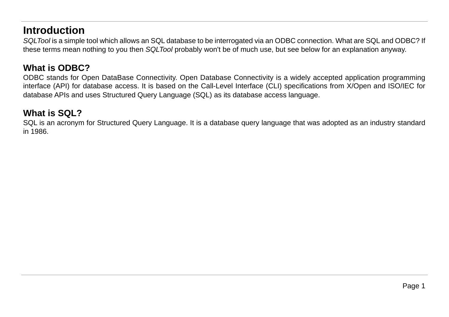# **Introduction**

 SQLTool is a simple tool which allows an SQL database to be interrogated via an ODBC connection. What are SQL and ODBC? Ifthese terms mean nothing to you then SQLTool probably won't be of much use, but see below for an explanation anyway.

### **What is ODBC?**

 ODBC stands for Open DataBase Connectivity. Open Database Connectivity is a widely accepted application programming interface (API) for database access. It is based on the Call-Level Interface (CLI) specifications from X/Open and ISO/IEC fordatabase APIs and uses Structured Query Language (SQL) as its database access language.

### **What is SQL?**

 SQL is an acronym for Structured Query Language. It is a database query language that was adopted as an industry standardin 1986.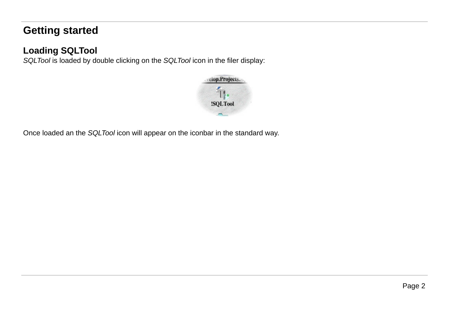# **Getting started**

# **Loading SQLTool**

SQLTool is loaded by double clicking on the SQLTool icon in the filer display:



Once loaded an the SQLTool icon will appear on the iconbar in the standard way.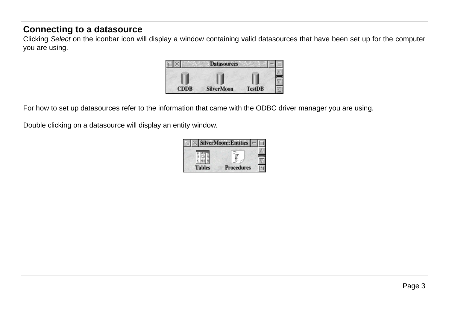# **Connecting to a datasource**

Clicking Select on the iconbar icon will display a window containing valid datasources that have been set up for the computer you are using.



For how to set up datasources refer to the information that came with the ODBC driver manager you are using.

Double clicking on a datasource will display an entity window.

|               | <b>SilverMoon::Entities</b> |  |
|---------------|-----------------------------|--|
|               |                             |  |
|               |                             |  |
| <b>Tables</b> | <b>Procedures</b>           |  |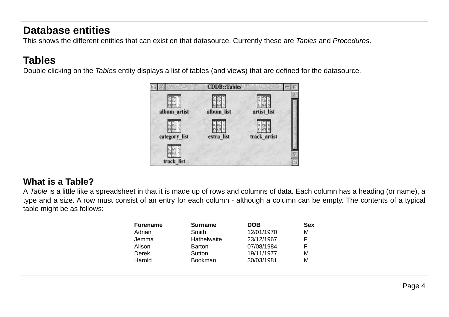# **Database entities**

This shows the different entities that can exist on that datasource. Currently these are *Tables* and *Procedures.* 

# **Tables**

Double clicking on the *Tables* entity displays a list of tables (and views) that are defined for the datasource.



# **What is a Table?**

A *Table* is a little like a spreadsheet in that it is made up of rows and columns of data. Each column has a heading (or name), a type and a size. A row must consist of an entry for each column - although a column can be empty. The contents of a typicaltable might be as follows:

| Forename | <b>Surname</b> | <b>DOB</b> | <b>Sex</b> |
|----------|----------------|------------|------------|
| Adrian   | Smith          | 12/01/1970 | М          |
| Jemma    | Hathelwaite    | 23/12/1967 | F          |
| Alison   | Barton         | 07/08/1984 | F          |
| Derek    | Sutton         | 19/11/1977 | М          |
| Harold   | <b>Bookman</b> | 30/03/1981 | М          |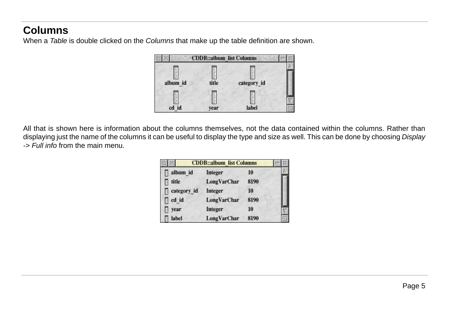# **Columns**

When a *Table* is double clicked on the *Columns* that make up the table definition are shown.



All that is shown here is information about the columns themselves, not the data contained within the columns. Rather thandisplaying just the name of the columns it can be useful to display the type and size as well. This can be done by choosing *Display* -> Full info from the main menu.

|             | <b>CDDB::album list Columns</b> |      |  |
|-------------|---------------------------------|------|--|
| album_id    | Integer                         | -10  |  |
| title<br>E. | LongVarChar                     | 8190 |  |
| category_id | Integer                         | 10   |  |
| cd id       | <b>LongVarChar</b>              | 8190 |  |
| year        | Integer                         | 10   |  |
| label       | LongVarChar                     | 8190 |  |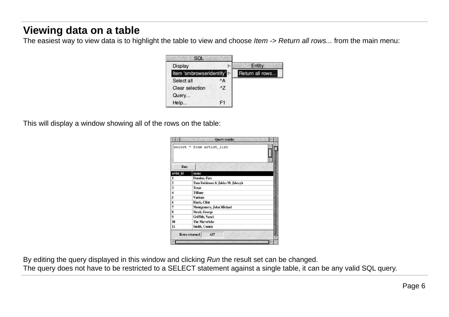# **Viewing data on a table**

The easiest way to view data is to highlight the table to view and choose *Item -> Return all rows...* from the main menu:



This will display a window showing all of the rows on the table:

|                                                 | <b>Query results</b>            |
|-------------------------------------------------|---------------------------------|
|                                                 | select * from artist list       |
| Run                                             |                                 |
| artist id                                       | name                            |
| $\mathbf{1}$                                    | <b>Domino</b> , Fats            |
|                                                 | Tom Robinson & Jakko M. Jakszyk |
|                                                 | Texas                           |
| $\begin{array}{c} 2 \\ 3 \\ 4 \\ 5 \end{array}$ | <b>Tiffany</b>                  |
|                                                 | <b>Various</b>                  |
| $\overline{\mathbf{6}}$                         | <b>Black, Clint</b>             |
| 7                                               | Montgomery, John Michael        |
| $\overline{\mathbf{8}}$                         | Strait, George                  |
| 9                                               | Griffith, Nanci                 |
| 10                                              | <b>The Mavericks</b>            |
| $\overline{11}$                                 | Smith, Connie                   |
|                                                 | 437<br><b>Rows returned</b>     |

By editing the query displayed in this window and clicking Run the result set can be changed.

The query does not have to be restricted to a SELECT statement against a single table, it can be any valid SQL query.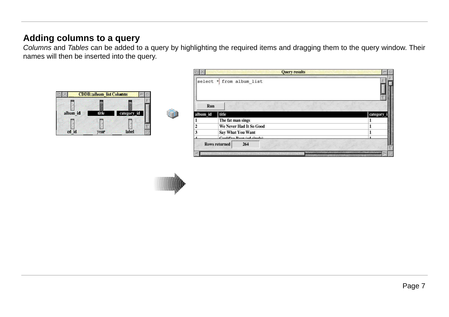### **Adding columns to a query**

Columns and Tables can be added to a query by highlighting the required items and dragging them to the query window. Their names will then be inserted into the query.



|                 |                            | <b>Query results</b> |          |
|-----------------|----------------------------|----------------------|----------|
|                 | select $*$ from album list |                      |          |
| Run<br>album id | title                      |                      | category |
|                 | The fat man sings          |                      | 1        |
|                 | We Never Had It So Good    |                      | ı        |
|                 | Say What You Want          |                      | 1        |
|                 | Could'up Room (ad cinada)  |                      | ٠        |
|                 | <b>Rows returned</b>       | 264                  |          |
|                 |                            |                      |          |

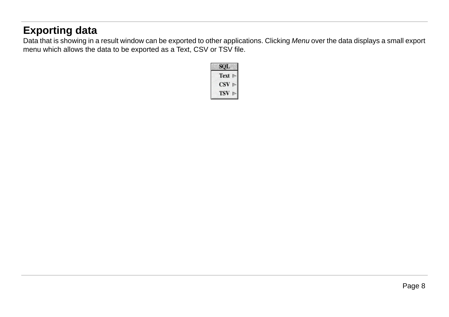# **Exporting data**

Data that is showing in a result window can be exported to other applications. Clicking *Menu* over the data displays a small export menu which allows the data to be exported as a Text, CSV or TSV file.

|                | SQL  |  |
|----------------|------|--|
| $\blacksquare$ | Text |  |
|                | CSV  |  |
|                | TSV  |  |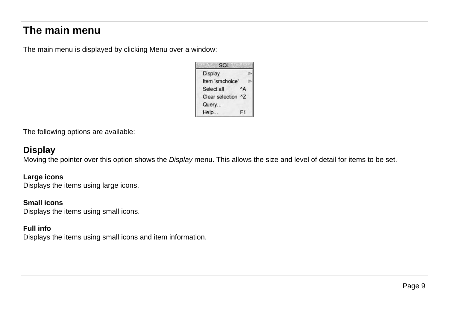# **The main menu**

The main menu is displayed by clicking Menu over a window:



The following options are available:

#### **Display**

Moving the pointer over this option shows the *Display* menu. This allows the size and level of detail for items to be set.

#### **Large icons**

Displays the items using large icons.

#### **Small icons**

Displays the items using small icons.

#### **Full info**

Displays the items using small icons and item information.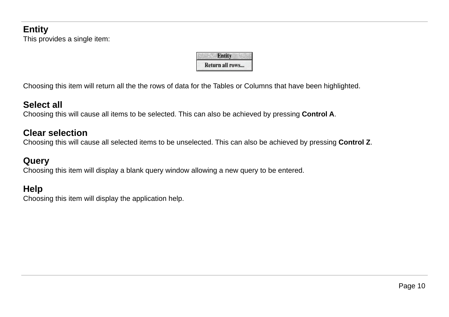# **Entity**

This provides a single item:

| Entity          |  |
|-----------------|--|
| Return all rows |  |

Choosing this item will return all the the rows of data for the Tables or Columns that have been highlighted.

#### **Select all**

Choosing this will cause all items to be selected. This can also be achieved by pressing **Control A**.

### **Clear selection**

Choosing this will cause all selected items to be unselected. This can also be achieved by pressing **Control Z**.

### **Query**

Choosing this item will display a blank query window allowing a new query to be entered.

# **Help**

Choosing this item will display the application help.